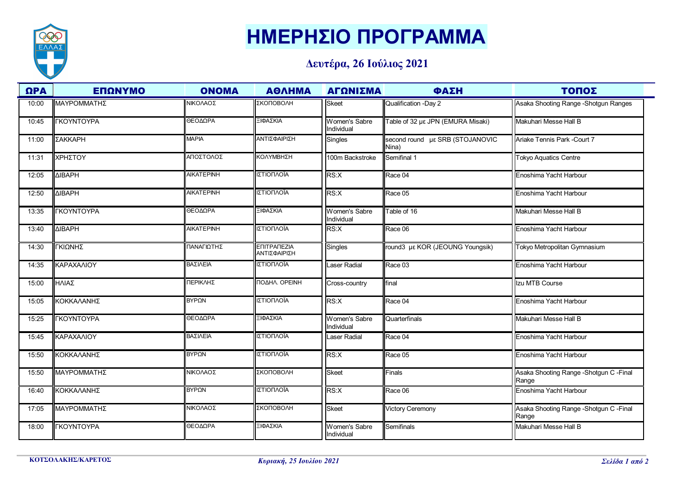

## **ΗΜΕΡΗΣΙΟ ΠΡΟΓΡΑΜΜΑ**

## **Δευτέρα, 26 Ιούλιος 2021**

| $\Omega$ PA | ΕΠΩΝΥΜΟ                     | <b>ONOMA</b>      | <b>ΑΘΛΗΜΑ</b>               | ΑΓΩΝΙΣΜΑ                           | ΦΑΣΗ                                     | ΤΟΠΟΣ                                             |
|-------------|-----------------------------|-------------------|-----------------------------|------------------------------------|------------------------------------------|---------------------------------------------------|
| 10:00       | ΜΑΥΡΟΜΜΑΤΗΣ                 | ΝΙΚΟΛΑΟΣ          | ΣΚΟΠΟΒΟΛΗ                   | <b>Skeet</b>                       | Qualification -Day 2                     | Asaka Shooting Range - Shotgun Ranges             |
| 10:45       | <b><i>TKOYNTOYPA</i></b>    | ΘΕΟΔΩΡΑ           | ΞΙΦΑΣΚΙΑ                    | <b>Women's Sabre</b><br>Individual | Table of 32 µg JPN (EMURA Misaki)        | Makuhari Messe Hall B                             |
| 11:00       | ΣΑΚΚΑΡΗ                     | <b>MAPIA</b>      | ΑΝΤΙΣΦΑΙΡΙΣΗ                | <b>Singles</b>                     | second round µ& SRB (STOJANOVIC<br>Nina) | Ariake Tennis Park -Court 7                       |
| 11:31       | ΧΡΗΣΤΟΥ                     | ΑΠΟΣΤΟΛΟΣ         | ΚΟΛΥΜΒΗΣΗ                   | 100m Backstroke                    | Semifinal 1                              | <b>Tokyo Aquatics Centre</b>                      |
| 12:05       | <b><i>AIBAPH</i></b>        | <b>AIKATEPINH</b> | ΙΣΤΙΟΠΛΟΪΑ                  | RS:X                               | Race 04                                  | Enoshima Yacht Harbour                            |
| 12:50       | <b>AIBAPH</b>               | <b>AIKATEPINH</b> | ΙΣΤΙΟΠΛΟΪΑ                  | RS:X                               | Race 05                                  | Enoshima Yacht Harbour                            |
| 13:35       | <b><i>TKOYNTOYPA</i></b>    | ΘΕΟΔΩΡΑ           | ΞΙΦΑΣΚΙΑ                    | Women's Sabre<br>Individual        | Table of 16                              | Makuhari Messe Hall B                             |
| 13:40       | <b><i><u>AIBAPH</u></i></b> | <b>AIKATEPINH</b> | ΙΣΤΙΟΠΛΟΪΑ                  | RS:X                               | Race 06                                  | Enoshima Yacht Harbour                            |
| 14:30       | ΓΚΙΩΝΗΣ                     | ΠΑΝΑΓΙΩΤΗΣ        | ΕΠΙΤΡΑΠΕΖΙΑ<br>ΑΝΤΙΣΦΑΙΡΙΣΗ | <b>Singles</b>                     | round3 με KOR (JEOUNG Youngsik)          | Tokyo Metropolitan Gymnasium                      |
| 14:35       | ΚΑΡΑΧΑΛΙΟΥ                  | ΒΑΣΙΛΕΙΑ          | ΙΣΤΙΟΠΛΟΪΑ                  | aser Radial                        | Race 03                                  | Enoshima Yacht Harbour                            |
| 15:00       | ΗΛΙΑΣ                       | ΠΕΡΙΚΛΗΣ          | ΠΟΔΗΛ. ΟΡΕΙΝΗ               | Cross-country                      | final                                    | Izu MTB Course                                    |
| 15:05       | ΚΟΚΚΑΛΑΝΗΣ                  | BYPON             | ΙΣΤΙΟΠΛΟΪΑ                  | RS:X                               | Race 04                                  | Enoshima Yacht Harbour                            |
| 15:25       | <b><i>TKOYNTOYPA</i></b>    | ΘΕΟΔΩΡΑ           | ΞΙΦΑΣΚΙΑ                    | <b>Women's Sabre</b><br>Individual | Quarterfinals                            | Makuhari Messe Hall B                             |
| 15:45       | ΚΑΡΑΧΑΛΙΟΥ                  | ΒΑΣΙΛΕΙΑ          | ΙΣΤΙΟΠΛΟΪΑ                  | Laser Radial                       | Race 04                                  | Enoshima Yacht Harbour                            |
| 15:50       | ΚΟΚΚΑΛΑΝΗΣ                  | ΒΥΡΩΝ             | ΙΣΤΙΟΠΛΟΪΑ                  | RS:X                               | Race 05                                  | Enoshima Yacht Harbour                            |
| 15:50       | ΜΑΥΡΟΜΜΑΤΗΣ                 | ΝΙΚΟΛΑΟΣ          | ΣΚΟΠΟΒΟΛΗ                   | <b>Skeet</b>                       | Finals                                   | Asaka Shooting Range - Shotgun C - Final<br>Range |
| 16:40       | ΚΟΚΚΑΛΑΝΗΣ                  | BYPΩN             | ΙΣΤΙΟΠΛΟΪΑ                  | RS:X                               | Race 06                                  | Enoshima Yacht Harbour                            |
| 17:05       | ΜΑΥΡΟΜΜΑΤΗΣ                 | ΝΙΚΟΛΑΟΣ          | ΣΚΟΠΟΒΟΛΗ                   | <b>Skeet</b>                       | <b>Victory Ceremony</b>                  | Asaka Shooting Range - Shotgun C - Final<br>Range |
| 18:00       | <b><i>FKOYNTOYPA</i></b>    | ΘΕΟΔΩΡΑ           | ΞΙΦΑΣΚΙΑ                    | Women's Sabre<br>Individual        | Semifinals                               | Makuhari Messe Hall B                             |